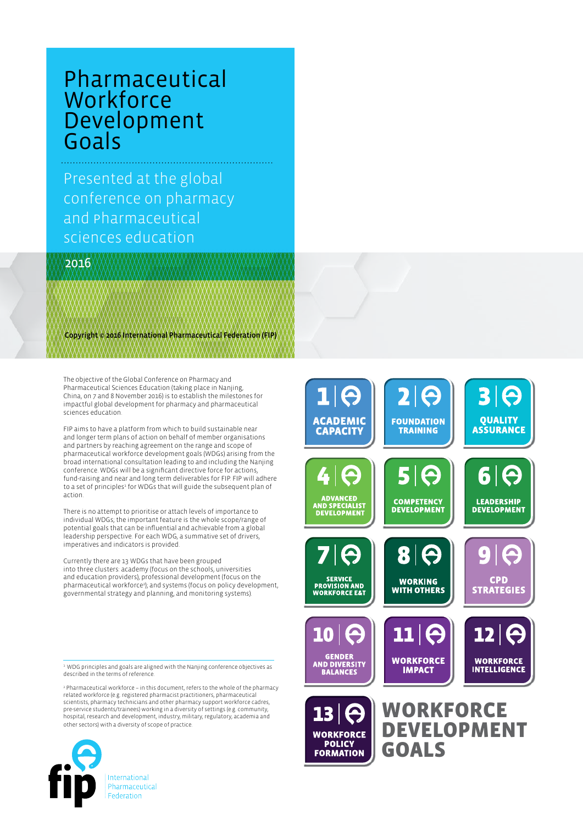## Pharmaceutical **Workforce** Development Goals

Presented at the global conference on pharmacy and Pharmaceutical sciences education

2016

Copyright © 2016 International Pharmaceutical Federation (FIP)

The objective of the Global Conference on Pharmacy and Pharmaceutical Sciences Education (taking place in Nanjing, China, on 7 and 8 November 2016) is to establish the milestones for impactful global development for pharmacy and pharmaceutical sciences education.

FIP aims to have a platform from which to build sustainable near and longer term plans of action on behalf of member organisations and partners by reaching agreement on the range and scope of pharmaceutical workforce development goals (WDGs) arising from the broad international consultation leading to and including the Nanjing conference. WDGs will be a significant directive force for actions, fund-raising and near and long term deliverables for FIP. FIP will adhere to a set of principles<sup>1</sup> for WDGs that will guide the subsequent plan of action.

There is no attempt to prioritise or attach levels of importance to individual WDGs; the important feature is the whole scope/range of potential goals that can be influential and achievable from a global leadership perspective. For each WDG, a summative set of drivers, imperatives and indicators is provided.

Currently there are 13 WDGs that have been grouped into three clusters: academy (focus on the schools, universities and education providers), professional development (focus on the pharmaceutical workforce<sup>2</sup>); and systems (focus on policy development, governmental strategy and planning, and monitoring systems).

 $^{\rm a}$  WDG principles and goals are aligned with the Nanjing conference objectives as<br>described in the terms of reference.

2 Pharmaceutical workforce – in this document, refers to the whole of the pharmacy related workforce (e.g. registered pharmacist practitioners, pharmaceutical scientists, pharmacy technicians and other pharmacy support workforce cadres, pre-service students/trainees) working in a diversity of settings (e.g. community, hospital, research and development, industry, military, regulatory, academia and other sectors) with a diversity of scope of practice.





 $13<sup>1</sup>$ **WORKFORCE POLICY FORMATION** 

**WORKFORCE** DEVELOPMENT GOALS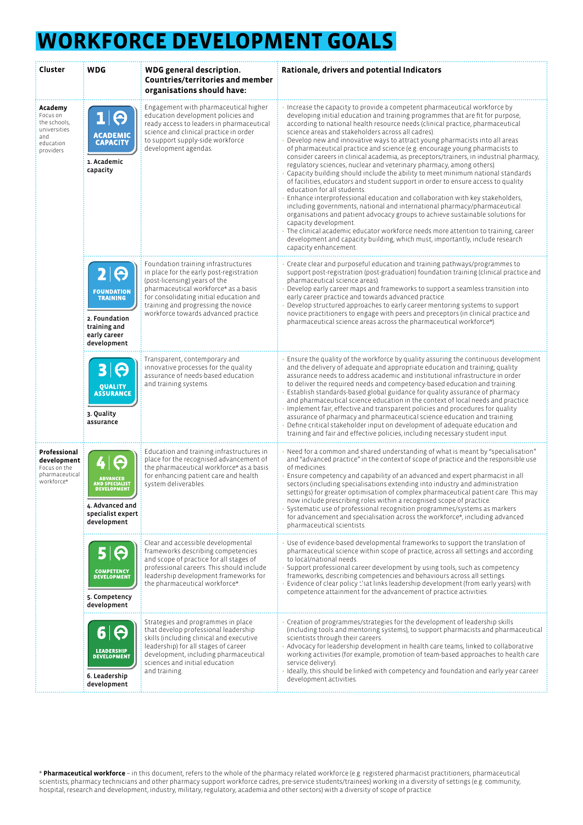## **WORKFORCE DEVELOPMENT GOALS**

| Cluster                                                                              | <b>WDG</b>                                                                                                   | WDG general description.<br><b>Countries/territories and member</b><br>organisations should have:                                                                                                                                                                                  | Rationale, drivers and potential Indicators                                                                                                                                                                                                                                                                                                                                                                                                                                                                                                                                                                                                                                                                                                                                                                                                                                                                                                                                                                                                                                                                                                                                                                                                                                                                     |
|--------------------------------------------------------------------------------------|--------------------------------------------------------------------------------------------------------------|------------------------------------------------------------------------------------------------------------------------------------------------------------------------------------------------------------------------------------------------------------------------------------|-----------------------------------------------------------------------------------------------------------------------------------------------------------------------------------------------------------------------------------------------------------------------------------------------------------------------------------------------------------------------------------------------------------------------------------------------------------------------------------------------------------------------------------------------------------------------------------------------------------------------------------------------------------------------------------------------------------------------------------------------------------------------------------------------------------------------------------------------------------------------------------------------------------------------------------------------------------------------------------------------------------------------------------------------------------------------------------------------------------------------------------------------------------------------------------------------------------------------------------------------------------------------------------------------------------------|
| Academy<br>Focus on<br>the schools.<br>universities<br>and<br>education<br>providers | e<br><b>ACADEMIC</b><br><b>CAPACITY</b><br>1. Academic<br>capacity                                           | Engagement with pharmaceutical higher<br>education development policies and<br>ready access to leaders in pharmaceutical<br>science and clinical practice in order<br>to support supply-side workforce<br>development agendas.                                                     | Increase the capacity to provide a competent pharmaceutical workforce by<br>developing initial education and training programmes that are fit for purpose,<br>according to national health resource needs (clinical practice, pharmaceutical<br>science areas and stakeholders across all cadres).<br>Develop new and innovative ways to attract young pharmacists into all areas<br>of pharmaceutical practice and science (e.g. encourage young pharmacists to<br>consider careers in clinical academia, as preceptors/trainers, in industrial pharmacy,<br>regulatory sciences, nuclear and veterinary pharmacy, among others).<br>Capacity building should include the ability to meet minimum national standards<br>of facilities, educators and student support in order to ensure access to quality<br>education for all students.<br>Enhance interprofessional education and collaboration with key stakeholders,<br>including governments, national and international pharmacy/pharmaceutical<br>organisations and patient advocacy groups to achieve sustainable solutions for<br>capacity development.<br>The clinical academic educator workforce needs more attention to training, career<br>development and capacity building, which must, importantly, include research<br>capacity enhancement. |
|                                                                                      | Θ<br><b>FOUNDATION</b><br><b>TRAINING</b><br>2. Foundation<br>training and<br>early career<br>development    | Foundation training infrastructures<br>in place for the early post-registration<br>(post-licensing) years of the<br>pharmaceutical workforce* as a basis<br>for consolidating initial education and<br>training and progressing the novice<br>workforce towards advanced practice. | Create clear and purposeful education and training pathways/programmes to<br>support post-registration (post-graduation) foundation training (clinical practice and<br>pharmaceutical science areas).<br>Develop early career maps and frameworks to support a seamless transition into<br>early career practice and towards advanced practice.<br>Develop structured approaches to early career mentoring systems to support<br>novice practitioners to engage with peers and preceptors (in clinical practice and<br>pharmaceutical science areas across the pharmaceutical workforce*).                                                                                                                                                                                                                                                                                                                                                                                                                                                                                                                                                                                                                                                                                                                      |
|                                                                                      | Θ<br><b>OUALITY</b><br><b>ASSURANCE</b><br>3. Quality<br>assurance                                           | Transparent, contemporary and<br>innovative processes for the quality<br>assurance of needs-based education<br>and training systems.                                                                                                                                               | Ensure the quality of the workforce by quality assuring the continuous development<br>and the delivery of adequate and appropriate education and training; quality<br>assurance needs to address academic and institutional infrastructure in order<br>to deliver the required needs and competency-based education and training.<br>Establish standards-based global guidance for quality assurance of pharmacy<br>and pharmaceutical science education in the context of local needs and practice.<br>Implement fair, effective and transparent policies and procedures for quality<br>assurance of pharmacy and pharmaceutical science education and training.<br>Define critical stakeholder input on development of adequate education and<br>training and fair and effective policies, including necessary student input.                                                                                                                                                                                                                                                                                                                                                                                                                                                                                 |
| Professional<br>development<br>Focus on the<br>pharmaceutical<br>workforce*          | Θ<br><b>ADVANCED</b><br>AND SPECIALIST<br>DEVELOPMENT<br>4. Advanced and<br>specialist expert<br>development | Education and training infrastructures in<br>place for the recognised advancement of<br>the pharmaceutical workforce* as a basis<br>for enhancing patient care and health<br>system deliverables.                                                                                  | Need for a common and shared understanding of what is meant by "specialisation"<br>and "advanced practice" in the context of scope of practice and the responsible use<br>of medicines.<br>Ensure competency and capability of an advanced and expert pharmacist in all<br>sectors (including specialisations extending into industry and administration<br>settings) for greater optimisation of complex pharmaceutical patient care. This may<br>now include prescribing roles within a recognised scope of practice.<br>Systematic use of professional recognition programmes/systems as markers<br>for advancement and specialisation across the workforce*, including advanced<br>pharmaceutical scientists.                                                                                                                                                                                                                                                                                                                                                                                                                                                                                                                                                                                               |
|                                                                                      | Θ<br><b>COMPETENCY</b><br><b>DEVELOPMENT</b><br>5. Competency<br>development                                 | Clear and accessible developmental<br>frameworks describing competencies<br>and scope of practice for all stages of<br>professional careers. This should include<br>leadership development frameworks for<br>the pharmaceutical workforce*.                                        | Use of evidence-based developmental frameworks to support the translation of<br>pharmaceutical science within scope of practice, across all settings and according<br>to local/national needs.<br>Support professional career development by using tools, such as competency<br>frameworks, describing competencies and behaviours across all settings.<br>Evidence of clear policy that links leadership development (from early years) with<br>competence attainment for the advancement of practice activities.                                                                                                                                                                                                                                                                                                                                                                                                                                                                                                                                                                                                                                                                                                                                                                                              |
|                                                                                      | Θ<br>a<br>LEADERSHIP<br>DEVELOPMENT<br>6. Leadership<br>development                                          | Strategies and programmes in place<br>that develop professional leadership<br>skills (including clinical and executive<br>leadership) for all stages of career<br>development, including pharmaceutical<br>sciences and initial education<br>and training.                         | Creation of programmes/strategies for the development of leadership skills<br>(including tools and mentoring systems), to support pharmacists and pharmaceutical<br>scientists through their careers.<br>Advocacy for leadership development in health care teams, linked to collaborative<br>working activities (for example, promotion of team-based approaches to health care<br>service delivery).<br>Ideally, this should be linked with competency and foundation and early year career<br>development activities.                                                                                                                                                                                                                                                                                                                                                                                                                                                                                                                                                                                                                                                                                                                                                                                        |

\* **Pharmaceutical workforce** – in this document, refers to the whole of the pharmacy related workforce (e.g. registered pharmacist practitioners, pharmaceutical scientists, pharmacy technicians and other pharmacy support workforce cadres, pre-service students/trainees) working in a diversity of settings (e.g. community, hospital, research and development, industry, military, regulatory, academia and other sectors) with a diversity of scope of practice.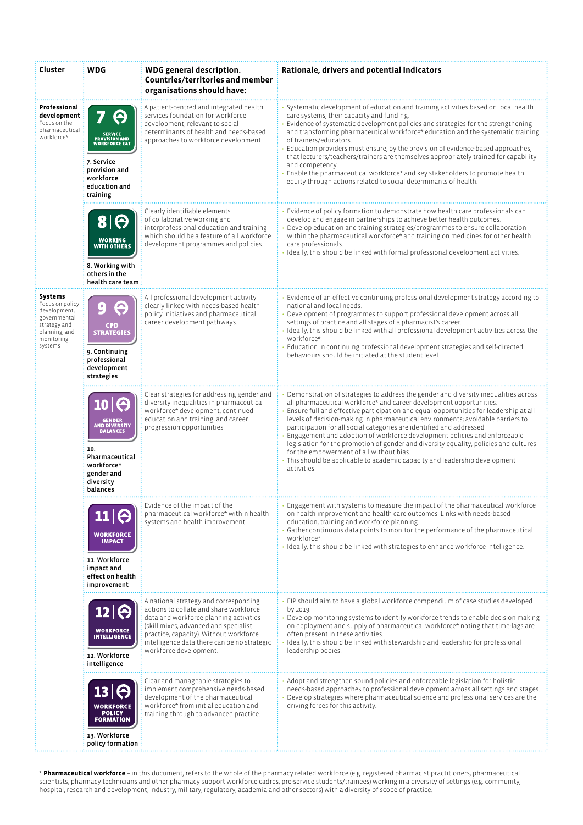| Cluster                                                                                                              | <b>WDG</b>                                                                                                                             | WDG general description.<br><b>Countries/territories and member</b><br>organisations should have:                                                                                                                                                                                     | Rationale, drivers and potential Indicators                                                                                                                                                                                                                                                                                                                                                                                                                                                                                                                                                                                                                                                                                   |
|----------------------------------------------------------------------------------------------------------------------|----------------------------------------------------------------------------------------------------------------------------------------|---------------------------------------------------------------------------------------------------------------------------------------------------------------------------------------------------------------------------------------------------------------------------------------|-------------------------------------------------------------------------------------------------------------------------------------------------------------------------------------------------------------------------------------------------------------------------------------------------------------------------------------------------------------------------------------------------------------------------------------------------------------------------------------------------------------------------------------------------------------------------------------------------------------------------------------------------------------------------------------------------------------------------------|
| Professional<br>development<br>Focus on the<br>pharmaceutical<br>workforce*                                          | IΘ<br>SERVICE<br>PROVISION AND<br>WORKFORCE E&T<br>7. Service<br>provision and<br>workforce<br>education and<br>training               | A patient-centred and integrated health<br>services foundation for workforce<br>development, relevant to social<br>determinants of health and needs-based<br>approaches to workforce development.                                                                                     | Systematic development of education and training activities based on local health<br>care systems, their capacity and funding.<br>Evidence of systematic development policies and strategies for the strengthening<br>and transforming pharmaceutical workforce* education and the systematic training<br>of trainers/educators.<br>Education providers must ensure, by the provision of evidence-based approaches,<br>that lecturers/teachers/trainers are themselves appropriately trained for capability<br>and competency.<br>Enable the pharmaceutical workforce* and key stakeholders to promote health<br>equity through actions related to social determinants of health.                                             |
|                                                                                                                      | $\boldsymbol{\Theta}$<br>81<br><b>WORKING</b><br><b>WITH OTHERS</b><br>8. Working with<br>others in the<br>health care team            | Clearly identifiable elements<br>of collaborative working and<br>interprofessional education and training<br>which should be a feature of all workforce<br>development programmes and policies.                                                                                       | Evidence of policy formation to demonstrate how health care professionals can<br>develop and engage in partnerships to achieve better health outcomes.<br>Develop education and training strategies/programmes to ensure collaboration<br>within the pharmaceutical workforce* and training on medicines for other health<br>care professionals.<br>Ideally, this should be linked with formal professional development activities.                                                                                                                                                                                                                                                                                           |
| Systems<br>Focus on policy<br>development,<br>governmental<br>strategy and<br>planning, and<br>monitoring<br>systems | <b>STRATEGIES</b><br>9. Continuing<br>professional<br>development<br>strategies                                                        | All professional development activity<br>clearly linked with needs-based health<br>policy initiatives and pharmaceutical<br>career development pathways.                                                                                                                              | Evidence of an effective continuing professional development strategy according to<br>national and local needs.<br>Development of programmes to support professional development across all<br>settings of practice and all stages of a pharmacist's career.<br>Ideally, this should be linked with all professional development activities across the<br>workforce*.<br>Education in continuing professional development strategies and self-directed<br>behaviours should be initiated at the student level.                                                                                                                                                                                                                |
|                                                                                                                      | <b>GENDER</b><br><b>AND DIVERSITY</b><br><b>BALANCES</b><br>10.<br>Pharmaceutical<br>workforce*<br>gender and<br>diversity<br>balances | Clear strategies for addressing gender and<br>diversity inequalities in pharmaceutical<br>workforce* development, continued<br>education and training, and career<br>progression opportunities.                                                                                       | Demonstration of strategies to address the gender and diversity inequalities across<br>all pharmaceutical workforce* and career development opportunities.<br>Ensure full and effective participation and equal opportunities for leadership at all<br>levels of decision-making in pharmaceutical environments; avoidable barriers to<br>participation for all social categories are identified and addressed.<br>Engagement and adoption of workforce development policies and enforceable<br>legislation for the promotion of gender and diversity equality; policies and cultures<br>for the empowerment of all without bias.<br>This should be applicable to academic capacity and leadership development<br>activities. |
|                                                                                                                      | <b>WORKFORCE</b><br><b>IMPACT</b><br>11. Workforce<br>impact and<br>effect on health<br>improvement                                    | Evidence of the impact of the<br>pharmaceutical workforce* within health<br>systems and health improvement.                                                                                                                                                                           | Engagement with systems to measure the impact of the pharmaceutical workforce<br>on health improvement and health care outcomes. Links with needs-based<br>education, training and workforce planning.<br>Gather continuous data points to monitor the performance of the pharmaceutical<br>workforce*.<br>I deally, this should be linked with strategies to enhance workforce intelligence.                                                                                                                                                                                                                                                                                                                                 |
|                                                                                                                      | Θ<br><b>WORKFORCE</b><br><b>INTELLIGENCE</b><br>12. Workforce<br>intelligence                                                          | A national strategy and corresponding<br>actions to collate and share workforce<br>data and workforce planning activities<br>(skill mixes, advanced and specialist<br>practice, capacity). Without workforce<br>intelligence data there can be no strategic<br>workforce development. | FIP should aim to have a global workforce compendium of case studies developed<br>by 2019.<br>Develop monitoring systems to identify workforce trends to enable decision making<br>on deployment and supply of pharmaceutical workforce* noting that time-lags are<br>often present in these activities.<br>Ideally, this should be linked with stewardship and leadership for professional<br>leadership bodies.                                                                                                                                                                                                                                                                                                             |
|                                                                                                                      | 13<br><b>WORKFORCE</b><br><b>POLICY</b><br><b>FORMATION</b><br>13. Workforce<br>policy formation                                       | Clear and manageable strategies to<br>implement comprehensive needs-based<br>development of the pharmaceutical<br>workforce* from initial education and<br>training through to advanced practice.                                                                                     | Adopt and strengthen sound policies and enforceable legislation for holistic<br>needs-based approaches to professional development across all settings and stages.<br>Develop strategies where pharmaceutical science and professional services are the<br>driving forces for this activity.                                                                                                                                                                                                                                                                                                                                                                                                                                  |

\* **Pharmaceutical workforce** – in this document, refers to the whole of the pharmacy related workforce (e.g. registered pharmacist practitioners, pharmaceutical scientists, pharmacy technicians and other pharmacy support workforce cadres, pre-service students/trainees) working in a diversity of settings (e.g. community, hospital, research and development, industry, military, regulatory, academia and other sectors) with a diversity of scope of practice.